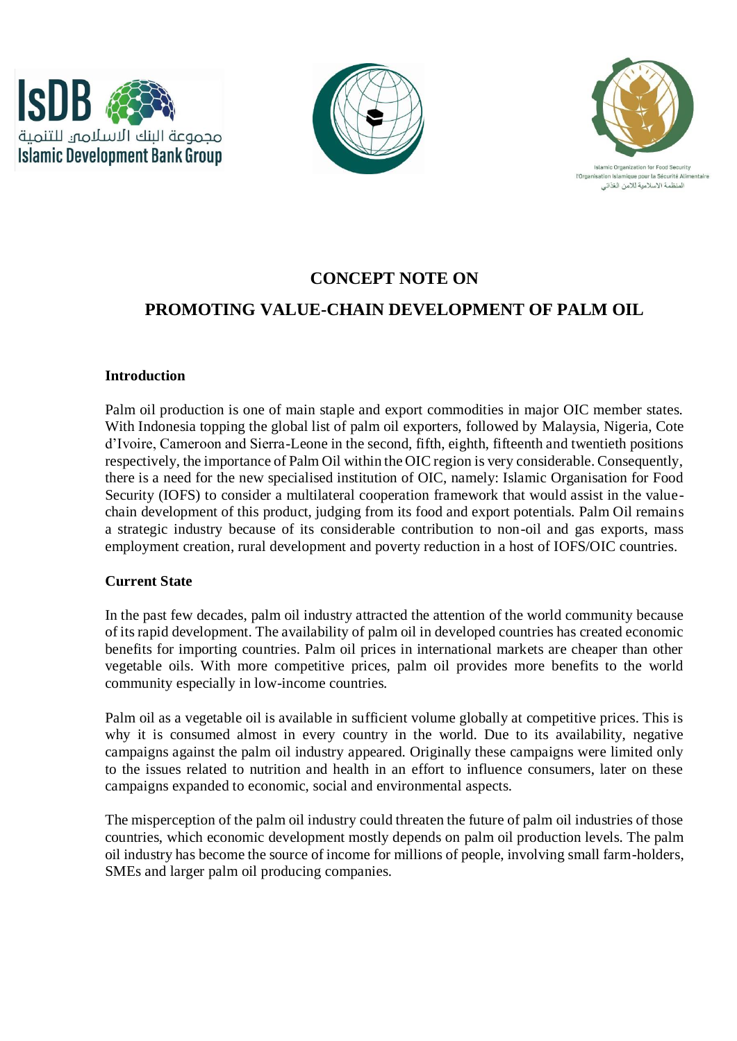





slamic Organization for Food Security l'Organisation Islamique nour la Sécurité Alimentaire المنظمة الاسلامية للامن الغذائر

# **CONCEPT NOTE ON**

# **PROMOTING VALUE-CHAIN DEVELOPMENT OF PALM OIL**

#### **Introduction**

Palm oil production is one of main staple and export commodities in major OIC member states. With Indonesia topping the global list of palm oil exporters, followed by Malaysia, Nigeria, Cote d'Ivoire, Cameroon and Sierra-Leone in the second, fifth, eighth, fifteenth and twentieth positions respectively, the importance of Palm Oil within the OIC region is very considerable. Consequently, there is a need for the new specialised institution of OIC, namely: Islamic Organisation for Food Security (IOFS) to consider a multilateral cooperation framework that would assist in the valuechain development of this product, judging from its food and export potentials. Palm Oil remains a strategic industry because of its considerable contribution to non-oil and gas exports, mass employment creation, rural development and poverty reduction in a host of IOFS/OIC countries.

## **Current State**

In the past few decades, palm oil industry attracted the attention of the world community because of its rapid development. The availability of palm oil in developed countries has created economic benefits for importing countries. Palm oil prices in international markets are cheaper than other vegetable oils. With more competitive prices, palm oil provides more benefits to the world community especially in low-income countries.

Palm oil as a vegetable oil is available in sufficient volume globally at competitive prices. This is why it is consumed almost in every country in the world. Due to its availability, negative campaigns against the palm oil industry appeared. Originally these campaigns were limited only to the issues related to nutrition and health in an effort to influence consumers, later on these campaigns expanded to economic, social and environmental aspects.

The misperception of the palm oil industry could threaten the future of palm oil industries of those countries, which economic development mostly depends on palm oil production levels. The palm oil industry has become the source of income for millions of people, involving small farm-holders, SMEs and larger palm oil producing companies.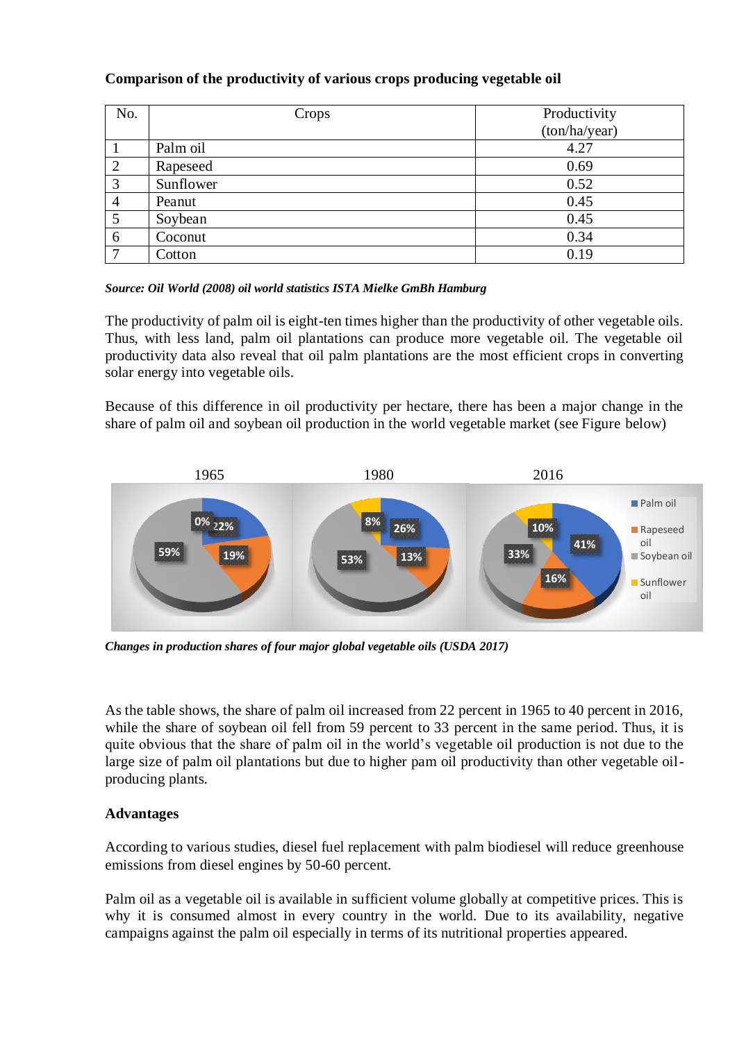## **Comparison of the productivity of various crops producing vegetable oil**

| No.                      | Crops     | Productivity<br>(ton/ha/year) |
|--------------------------|-----------|-------------------------------|
|                          | Palm oil  | 4.27                          |
| $\overline{2}$           | Rapeseed  | 0.69                          |
| 3                        | Sunflower | 0.52                          |
| $\overline{4}$           | Peanut    | 0.45                          |
| 5                        | Soybean   | 0.45                          |
| 6                        | Coconut   | 0.34                          |
| $\overline{\phantom{0}}$ | Cotton    | 0.19                          |

#### *Source: Oil World (2008) oil world statistics ISTA Mielke GmBh Hamburg*

The productivity of palm oil is eight-ten times higher than the productivity of other vegetable oils. Thus, with less land, palm oil plantations can produce more vegetable oil. The vegetable oil productivity data also reveal that oil palm plantations are the most efficient crops in converting solar energy into vegetable oils.

Because of this difference in oil productivity per hectare, there has been a major change in the share of palm oil and soybean oil production in the world vegetable market (see Figure below)



*Changes in production shares of four major global vegetable oils (USDA 2017)*

As the table shows, the share of palm oil increased from 22 percent in 1965 to 40 percent in 2016, while the share of soybean oil fell from 59 percent to 33 percent in the same period. Thus, it is quite obvious that the share of palm oil in the world's vegetable oil production is not due to the large size of palm oil plantations but due to higher pam oil productivity than other vegetable oilproducing plants.

## **Advantages**

According to various studies, diesel fuel replacement with palm biodiesel will reduce greenhouse emissions from diesel engines by 50-60 percent.

Palm oil as a vegetable oil is available in sufficient volume globally at competitive prices. This is why it is consumed almost in every country in the world. Due to its availability, negative campaigns against the palm oil especially in terms of its nutritional properties appeared.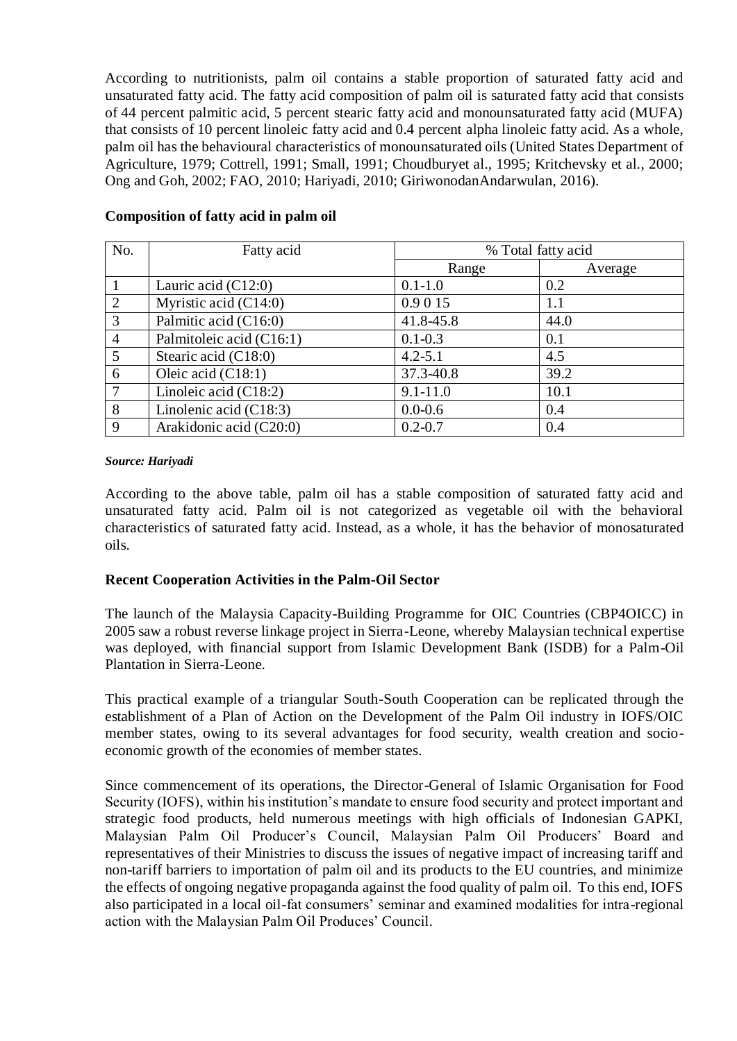According to nutritionists, palm oil contains a stable proportion of saturated fatty acid and unsaturated fatty acid. The fatty acid composition of palm oil is saturated fatty acid that consists of 44 percent palmitic acid, 5 percent stearic fatty acid and monounsaturated fatty acid (MUFA) that consists of 10 percent linoleic fatty acid and 0.4 percent alpha linoleic fatty acid. As a whole, palm oil has the behavioural characteristics of monounsaturated oils (United States Department of Agriculture, 1979; Cottrell, 1991; Small, 1991; Choudburyet al., 1995; Kritchevsky et al., 2000; Ong and Goh, 2002; FAO, 2010; Hariyadi, 2010; GiriwonodanAndarwulan, 2016).

| No.            | Fatty acid               | % Total fatty acid |         |
|----------------|--------------------------|--------------------|---------|
|                |                          | Range              | Average |
|                | Lauric acid $(C12:0)$    | $0.1 - 1.0$        | 0.2     |
| 2              | Myristic acid $(C14:0)$  | 0.9 0 15           | 1.1     |
| 3              | Palmitic acid (C16:0)    | 41.8-45.8          | 44.0    |
| $\overline{4}$ | Palmitoleic acid (C16:1) | $0.1 - 0.3$        | 0.1     |
| 5 <sup>5</sup> | Stearic acid (C18:0)     | $4.2 - 5.1$        | 4.5     |
| 6              | Oleic acid (C18:1)       | 37.3-40.8          | 39.2    |
| 7              | Linoleic acid $(C18:2)$  | $9.1 - 11.0$       | 10.1    |
| 8              | Linolenic acid $(C18:3)$ | $0.0 - 0.6$        | 0.4     |
| 9              | Arakidonic acid (C20:0)  | $0.2 - 0.7$        | 0.4     |

## **Composition of fatty acid in palm oil**

#### *Source: Hariyadi*

According to the above table, palm oil has a stable composition of saturated fatty acid and unsaturated fatty acid. Palm oil is not categorized as vegetable oil with the behavioral characteristics of saturated fatty acid. Instead, as a whole, it has the behavior of monosaturated oils.

#### **Recent Cooperation Activities in the Palm-Oil Sector**

The launch of the Malaysia Capacity-Building Programme for OIC Countries (CBP4OICC) in 2005 saw a robust reverse linkage project in Sierra-Leone, whereby Malaysian technical expertise was deployed, with financial support from Islamic Development Bank (ISDB) for a Palm-Oil Plantation in Sierra-Leone.

This practical example of a triangular South-South Cooperation can be replicated through the establishment of a Plan of Action on the Development of the Palm Oil industry in IOFS/OIC member states, owing to its several advantages for food security, wealth creation and socioeconomic growth of the economies of member states.

Since commencement of its operations, the Director-General of Islamic Organisation for Food Security (IOFS), within his institution's mandate to ensure food security and protect important and strategic food products, held numerous meetings with high officials of Indonesian GAPKI, Malaysian Palm Oil Producer's Council, Malaysian Palm Oil Producers' Board and representatives of their Ministries to discuss the issues of negative impact of increasing tariff and non-tariff barriers to importation of palm oil and its products to the EU countries, and minimize the effects of ongoing negative propaganda against the food quality of palm oil. To this end, IOFS also participated in a local oil-fat consumers' seminar and examined modalities for intra-regional action with the Malaysian Palm Oil Produces' Council.